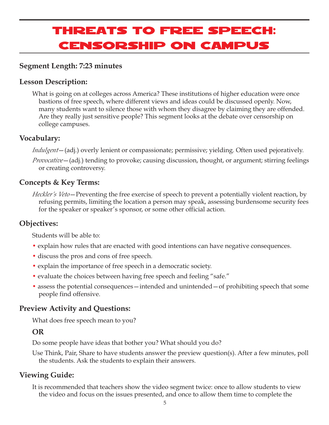# Threats to Free Speech: Censorship on Campus

# **Segment Length: 7:23 minutes**

# **Lesson Description:**

What is going on at colleges across America? These institutions of higher education were once bastions of free speech, where different views and ideas could be discussed openly. Now, many students want to silence those with whom they disagree by claiming they are offended. Are they really just sensitive people? This segment looks at the debate over censorship on college campuses.

# **Vocabulary:**

*Indulgent*—(adj.) overly lenient or compassionate; permissive; yielding. Often used pejoratively.

*Provocative*—(adj.) tending to provoke; causing discussion, thought, or argument; stirring feelings or creating controversy.

# **Concepts & Key Terms:**

*Heckler's Veto*—Preventing the free exercise of speech to prevent a potentially violent reaction, by refusing permits, limiting the location a person may speak, assessing burdensome security fees for the speaker or speaker's sponsor, or some other official action.

# **Objectives:**

Students will be able to:

- explain how rules that are enacted with good intentions can have negative consequences.
- discuss the pros and cons of free speech.
- explain the importance of free speech in a democratic society.
- evaluate the choices between having free speech and feeling "safe."
- assess the potential consequences intended and unintended of prohibiting speech that some people find offensive.

# **Preview Activity and Questions:**

What does free speech mean to you?

# **OR**

Do some people have ideas that bother you? What should you do?

Use Think, Pair, Share to have students answer the preview question(s). After a few minutes, poll the students. Ask the students to explain their answers.

# **Viewing Guide:**

It is recommended that teachers show the video segment twice: once to allow students to view the video and focus on the issues presented, and once to allow them time to complete the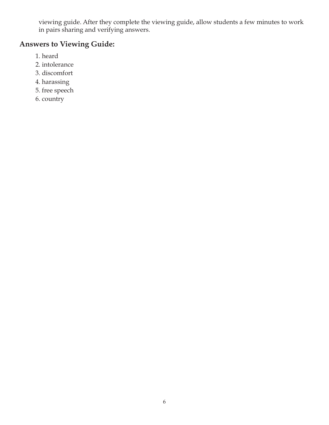viewing guide. After they complete the viewing guide, allow students a few minutes to work in pairs sharing and verifying answers.

# **Answers to Viewing Guide:**

- 1. heard
- 2. intolerance
- 3. discomfort
- 4. harassing
- 5. free speech
- 6. country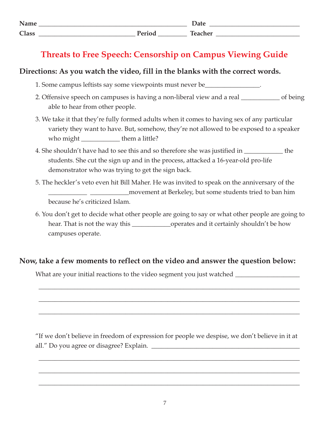| Name<br>110111 |                             | Date   |
|----------------|-----------------------------|--------|
| <b>Class</b>   | $\mathbf{m}$ . $\mathbf{m}$ | $\sim$ |

# **Threats to Free Speech: Censorship on Campus Viewing Guide**

# **Directions: As you watch the video, fill in the blanks with the correct words.**

- 1. Some campus leftists say some viewpoints must never be\_\_\_\_\_\_\_\_\_\_\_\_\_\_\_\_\_.
- 2. Offensive speech on campuses is having a non-liberal view and a real \_\_\_\_\_\_\_\_\_\_\_\_ of being able to hear from other people.
- 3. We take it that they're fully formed adults when it comes to having sex of any particular variety they want to have. But, somehow, they're not allowed to be exposed to a speaker who might \_\_\_\_\_\_\_\_\_\_\_\_\_\_\_\_\_\_\_\_them a little?
- 4. She shouldn't have had to see this and so therefore she was justified in the students. She cut the sign up and in the process, attacked a 16-year-old pro-life demonstrator who was trying to get the sign back.
- 5. The heckler's veto even hit Bill Maher. He was invited to speak on the anniversary of the \_\_\_\_\_\_\_\_\_\_\_\_ \_\_\_\_\_\_\_\_\_\_\_\_movement at Berkeley, but some students tried to ban him because he's criticized Islam.

6. You don't get to decide what other people are going to say or what other people are going to hear. That is not the way this \_\_\_\_\_\_\_\_\_\_\_\_\_\_\_\_\_operates and it certainly shouldn't be how campuses operate.

# **Now, take a few moments to reflect on the video and answer the question below:**

What are your initial reactions to the video segment you just watched \_\_\_\_\_\_\_\_\_\_\_

"If we don't believe in freedom of expression for people we despise, we don't believe in it at all." Do you agree or disagree? Explain.

\_\_\_\_\_\_\_\_\_\_\_\_\_\_\_\_\_\_\_\_\_\_\_\_\_\_\_\_\_\_\_\_\_\_\_\_\_\_\_\_\_\_\_\_\_\_\_\_\_\_\_\_\_\_\_\_\_\_\_\_\_\_\_\_\_\_\_\_\_\_\_\_\_\_\_\_\_\_\_\_\_

\_\_\_\_\_\_\_\_\_\_\_\_\_\_\_\_\_\_\_\_\_\_\_\_\_\_\_\_\_\_\_\_\_\_\_\_\_\_\_\_\_\_\_\_\_\_\_\_\_\_\_\_\_\_\_\_\_\_\_\_\_\_\_\_\_\_\_\_\_\_\_\_\_\_\_\_\_\_\_\_\_

\_\_\_\_\_\_\_\_\_\_\_\_\_\_\_\_\_\_\_\_\_\_\_\_\_\_\_\_\_\_\_\_\_\_\_\_\_\_\_\_\_\_\_\_\_\_\_\_\_\_\_\_\_\_\_\_\_\_\_\_\_\_\_\_\_\_\_\_\_\_\_\_\_\_\_\_\_\_\_\_\_

\_\_\_\_\_\_\_\_\_\_\_\_\_\_\_\_\_\_\_\_\_\_\_\_\_\_\_\_\_\_\_\_\_\_\_\_\_\_\_\_\_\_\_\_\_\_\_\_\_\_\_\_\_\_\_\_\_\_\_\_\_\_\_\_\_\_\_\_\_\_\_\_\_\_\_\_\_\_\_\_\_

\_\_\_\_\_\_\_\_\_\_\_\_\_\_\_\_\_\_\_\_\_\_\_\_\_\_\_\_\_\_\_\_\_\_\_\_\_\_\_\_\_\_\_\_\_\_\_\_\_\_\_\_\_\_\_\_\_\_\_\_\_\_\_\_\_\_\_\_\_\_\_\_\_\_\_\_\_\_\_\_\_

\_\_\_\_\_\_\_\_\_\_\_\_\_\_\_\_\_\_\_\_\_\_\_\_\_\_\_\_\_\_\_\_\_\_\_\_\_\_\_\_\_\_\_\_\_\_\_\_\_\_\_\_\_\_\_\_\_\_\_\_\_\_\_\_\_\_\_\_\_\_\_\_\_\_\_\_\_\_\_\_\_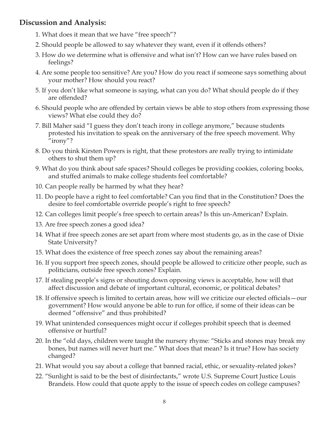# **Discussion and Analysis:**

- 1. What does it mean that we have "free speech"?
- 2. Should people be allowed to say whatever they want, even if it offends others?
- 3. How do we determine what is offensive and what isn't? How can we have rules based on feelings?
- 4. Are some people too sensitive? Are you? How do you react if someone says something about your mother? How should you react?
- 5. If you don't like what someone is saying, what can you do? What should people do if they are offended?
- 6. Should people who are offended by certain views be able to stop others from expressing those views? What else could they do?
- 7. Bill Maher said "I guess they don't teach irony in college anymore," because students protested his invitation to speak on the anniversary of the free speech movement. Why "irony"?
- 8. Do you think Kirsten Powers is right, that these protestors are really trying to intimidate others to shut them up?
- 9. What do you think about safe spaces? Should colleges be providing cookies, coloring books, and stuffed animals to make college students feel comfortable?
- 10. Can people really be harmed by what they hear?
- 11. Do people have a right to feel comfortable? Can you find that in the Constitution? Does the desire to feel comfortable override people's right to free speech?
- 12. Can colleges limit people's free speech to certain areas? Is this un-American? Explain.
- 13. Are free speech zones a good idea?
- 14. What if free speech zones are set apart from where most students go, as in the case of Dixie State University?
- 15. What does the existence of free speech zones say about the remaining areas?
- 16. If you support free speech zones, should people be allowed to criticize other people, such as politicians, outside free speech zones? Explain.
- 17. If stealing people's signs or shouting down opposing views is acceptable, how will that affect discussion and debate of important cultural, economic, or political debates?
- 18. If offensive speech is limited to certain areas, how will we criticize our elected officials—our government? How would anyone be able to run for office, if some of their ideas can be deemed "offensive" and thus prohibited?
- 19. What unintended consequences might occur if colleges prohibit speech that is deemed offensive or hurtful?
- 20. In the "old days, children were taught the nursery rhyme: "Sticks and stones may break my bones, but names will never hurt me." What does that mean? Is it true? How has society changed?
- 21. What would you say about a college that banned racial, ethic, or sexuality-related jokes?
- 22. "Sunlight is said to be the best of disinfectants," wrote U.S. Supreme Court Justice Louis Brandeis. How could that quote apply to the issue of speech codes on college campuses?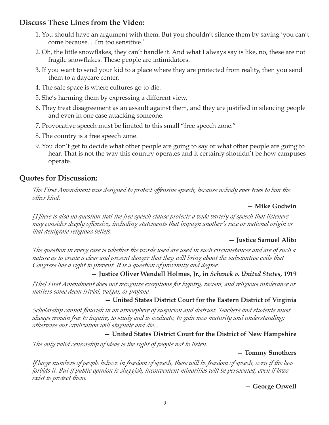# **Discuss These Lines from the Video:**

- 1. You should have an argument with them. But you shouldn't silence them by saying 'you can't come because... I'm too sensitive.'
- 2. Oh, the little snowflakes, they can't handle it. And what I always say is like, no, these are not fragile snowflakes. These people are intimidators.
- 3. If you want to send your kid to a place where they are protected from reality, then you send them to a daycare center.
- 4. The safe space is where cultures go to die.
- 5. She's harming them by expressing a different view.
- 6. They treat disagreement as an assault against them, and they are justified in silencing people and even in one case attacking someone.
- 7. Provocative speech must be limited to this small "free speech zone."
- 8. The country is a free speech zone.
- 9. You don't get to decide what other people are going to say or what other people are going to hear. That is not the way this country operates and it certainly shouldn't be how campuses operate.

## **Quotes for Discussion:**

*The First Amendment was designed to protect offensive speech, because nobody ever tries to ban the other kind.*

#### **— Mike Godwin**

*[T]here is also no question that the free speech clause protects a wide variety of speech that listeners may consider deeply offensive, including statements that impugn another's race or national origin or that denigrate religious beliefs.*

#### **— Justice Samuel Alito**

*The question in every case is whether the words used are used in such circumstances and are of such a nature as to create a clear and present danger that they will bring about the substantive evils that Congress has a right to prevent. It is a question of proximity and degree.*

#### **— Justice Oliver Wendell Holmes, Jr., in** *Schenck v. United States***, 1919**

*[The] First Amendment does not recognize exceptions for bigotry, racism, and religious intolerance or matters some deem trivial, vulgar, or profane.*

#### **— United States District Court for the Eastern District of Virginia**

*Scholarship cannot flourish in an atmosphere of suspicion and distrust. Teachers and students must always remain free to inquire, to study and to evaluate, to gain new maturity and understanding; otherwise our civilization will stagnate and die...*

#### **— United States District Court for the District of New Hampshire**

*The only valid censorship of ideas is the right of people not to listen.*

#### **— Tommy Smothers**

*If large numbers of people believe in freedom of speech, there will be freedom of speech, even if the law forbids it. But if public opinion is sluggish, inconvenient minorities will be persecuted, even if laws exist to protect them.*

**— George Orwell**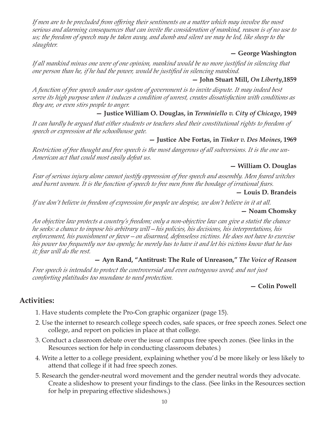*If men are to be precluded from offering their sentiments on a matter which may involve the most serious and alarming consequences that can invite the consideration of mankind, reason is of no use to us; the freedom of speech may be taken away, and dumb and silent we may be led, like sheep to the slaughter.*

#### **— George Washington**

*If all mankind minus one were of one opinion, mankind would be no more justified in silencing that one person than he, if he had the power, would be justified in silencing mankind.*

#### **— John Stuart Mill,** *On Liberty***,1859**

*A function of free speech under our system of government is to invite dispute. It may indeed best serve its high purpose when it induces a condition of unrest, creates dissatisfaction with conditions as they are, or even stirs people to anger.*

## **— Justice William O. Douglas, in** *Terminiello v. City of Chicago***, 1949**

*It can hardly be argued that either students or teachers shed their constitutional rights to freedom of speech or expression at the schoolhouse gate.*

#### **— Justice Abe Fortas, in** *Tinker v. Des Moines***, 1969**

*Restriction of free thought and free speech is the most dangerous of all subversions. It is the one un-American act that could most easily defeat us.*

#### **— William O. Douglas**

*Fear of serious injury alone cannot justify oppression of free speech and assembly. Men feared witches and burnt women. It is the function of speech to free men from the bondage of irrational fears.*

#### **— Louis D. Brandeis**

*If we don't believe in freedom of expression for people we despise, we don't believe in it at all.*

#### **— Noam Chomsky**

*An objective law protects a country's freedom; only a non-objective law can give a statist the chance he seeks: a chance to impose his arbitrary will—his policies, his decisions, his interpretations, his enforcement, his punishment or favor—on disarmed, defenseless victims. He does not have to exercise his power too frequently nor too openly; he merely has to have it and let his victims know that he has it; fear will do the rest.*

#### **— Ayn Rand, "Antitrust: The Rule of Unreason,"** *The Voice of Reason*

*Free speech is intended to protect the controversial and even outrageous word; and not just comforting platitudes too mundane to need protection.*

#### **— Colin Powell**

# **Activities:**

- 1. Have students complete the Pro-Con graphic organizer (page 15).
- 2. Use the internet to research college speech codes, safe spaces, or free speech zones. Select one college, and report on policies in place at that college.
- 3. Conduct a classroom debate over the issue of campus free speech zones. (See links in the Resources section for help in conducting classroom debates.)
- 4. Write a letter to a college president, explaining whether you'd be more likely or less likely to attend that college if it had free speech zones.
- 5. Research the gender-neutral word movement and the gender neutral words they advocate. Create a slideshow to present your findings to the class. (See links in the Resources section for help in preparing effective slideshows.)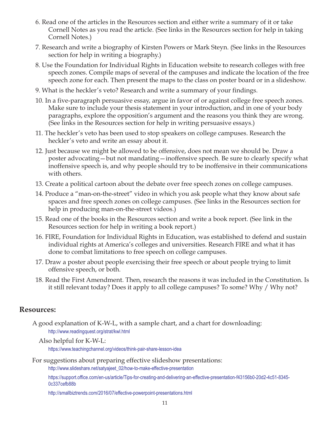- 6. Read one of the articles in the Resources section and either write a summary of it or take Cornell Notes as you read the article. (See links in the Resources section for help in taking Cornell Notes.)
- 7. Research and write a biography of Kirsten Powers or Mark Steyn. (See links in the Resources section for help in writing a biography.)
- 8. Use the Foundation for Individual Rights in Education website to research colleges with free speech zones. Compile maps of several of the campuses and indicate the location of the free speech zone for each. Then present the maps to the class on poster board or in a slideshow.
- 9. What is the heckler's veto? Research and write a summary of your findings.
- 10. In a five-paragraph persuasive essay, argue in favor of or against college free speech zones. Make sure to include your thesis statement in your introduction, and in one of your body paragraphs, explore the opposition's argument and the reasons you think they are wrong. (See links in the Resources section for help in writing persuasive essays.)
- 11. The heckler's veto has been used to stop speakers on college campuses. Research the heckler's veto and write an essay about it.
- 12. Just because we might be allowed to be offensive, does not mean we should be. Draw a poster advocating—but not mandating—inoffensive speech. Be sure to clearly specify what inoffensive speech is, and why people should try to be inoffensive in their communications with others.
- 13. Create a political cartoon about the debate over free speech zones on college campuses.
- 14. Produce a "man-on-the-street" video in which you ask people what they know about safe spaces and free speech zones on college campuses. (See links in the Resources section for help in producing man-on-the-street videos.)
- 15. Read one of the books in the Resources section and write a book report. (See link in the Resources section for help in writing a book report.)
- 16. FIRE, Foundation for Individual Rights in Education, was established to defend and sustain individual rights at America's colleges and universities. Research FIRE and what it has done to combat limitations to free speech on college campuses.
- 17. Draw a poster about people exercising their free speech or about people trying to limit offensive speech, or both.
- 18. Read the First Amendment. Then, research the reasons it was included in the Constitution. Is it still relevant today? Does it apply to all college campuses? To some? Why / Why not?

#### **Resources:**

A good explanation of K-W-L, with a sample chart, and a chart for downloading: http://www.readingquest.org/strat/kwl.html

Also helpful for K-W-L:

https://www.teachingchannel.org/videos/think-pair-share-lesson-idea

For suggestions about preparing effective slideshow presentations:

http://www.slideshare.net/satyajeet\_02/how-to-make-effective-presentation

https://support.office.com/en-us/article/Tips-for-creating-and-delivering-an-effective-presentation-f43156b0-20d2-4c51-8345- 0c337cefb88b

http://smallbiztrends.com/2016/07/effective-powerpoint-presentations.html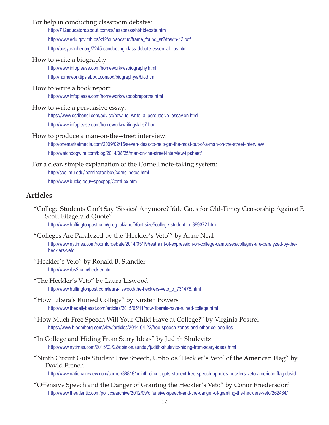|  | For help in conducting classroom debates: |  |
|--|-------------------------------------------|--|
|  |                                           |  |

http://712educators.about.com/cs/lessonsss/ht/htdebate.htm

http://www.edu.gov.mb.ca/k12/cur/socstud/frame\_found\_sr2/tns/tn-13.pdf

http://busyteacher.org/7245-conducting-class-debate-essential-tips.html

How to write a biography:

http://www.infoplease.com/homework/wsbiography.html http://homeworktips.about.com/od/biography/a/bio.htm

How to write a book report:

http://www.infoplease.com/homework/wsbookreporths.html

- How to write a persuasive essay: https://www.scribendi.com/advice/how\_to\_write\_a\_persuasive\_essay.en.html http://www.infoplease.com/homework/writingskills7.html
- How to produce a man-on-the-street interview:

http://onemarketmedia.com/2009/02/16/seven-ideas-to-help-get-the-most-out-of-a-man-on-the-street-interview/ http://watchdogwire.com/blog/2014/08/25/man-on-the-street-interview-tipsheet/

For a clear, simple explanation of the Cornell note-taking system: http://coe.jmu.edu/learningtoolbox/cornellnotes.html http://www.bucks.edu/~specpop/Cornl-ex.htm

# **Articles**

 "College Students Can't Say 'Sissies' Anymore? Yale Goes for Old-Timey Censorship Against F. Scott Fitzgerald Quote"

http://www.huffingtonpost.com/greg-lukianoff/font-size5college-student\_b\_399372.html

- "Colleges Are Paralyzed by the 'Heckler's Veto'" by Anne Neal http://www.nytimes.com/roomfordebate/2014/05/19/restraint-of-expression-on-college-campuses/colleges-are-paralyzed-by-thehecklers-veto
- "Heckler's Veto" by Ronald B. Standler http://www.rbs2.com/heckler.htm
- "The Heckler's Veto" by Laura Liswood http://www.huffingtonpost.com/laura-liswood/the-hecklers-veto\_b\_731476.html
- "How Liberals Ruined College" by Kirsten Powers http://www.thedailybeast.com/articles/2015/05/11/how-liberals-have-ruined-college.html
- "How Much Free Speech Will Your Child Have at College?" by Virginia Postrel https://www.bloomberg.com/view/articles/2014-04-22/free-speech-zones-and-other-college-lies
- "In College and Hiding From Scary Ideas" by Judith Shulevitz http://www.nytimes.com/2015/03/22/opinion/sunday/judith-shulevitz-hiding-from-scary-ideas.html
- "Ninth Circuit Guts Student Free Speech, Upholds 'Heckler's Veto' of the American Flag" by David French

http://www.nationalreview.com/corner/388181/ninth-circuit-guts-student-free-speech-upholds-hecklers-veto-american-flag-david

 "Offensive Speech and the Danger of Granting the Heckler's Veto" by Conor Friedersdorf http://www.theatlantic.com/politics/archive/2012/09/offensive-speech-and-the-danger-of-granting-the-hecklers-veto/262434/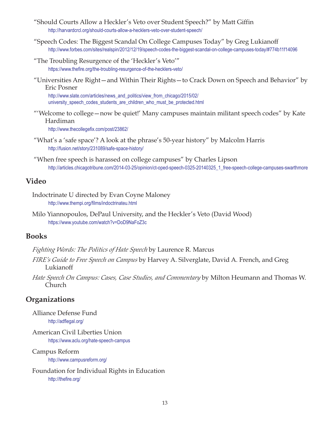- "Should Courts Allow a Heckler's Veto over Student Speech?" by Matt Giffin http://harvardcrcl.org/should-courts-allow-a-hecklers-veto-over-student-speech/
- "Speech Codes: The Biggest Scandal On College Campuses Today" by Greg Lukianoff http://www.forbes.com/sites/realspin/2012/12/19/speech-codes-the-biggest-scandal-on-college-campuses-today/#774b11f14096
- "The Troubling Resurgence of the 'Heckler's Veto'" https://www.thefire.org/the-troubling-resurgence-of-the-hecklers-veto/
- "Universities Are Right—and Within Their Rights—to Crack Down on Speech and Behavior" by Eric Posner

http://www.slate.com/articles/news\_and\_politics/view\_from\_chicago/2015/02/ [university\\_speech\\_codes\\_students\\_are\\_children\\_who\\_must\\_be\\_protected.html](http://www.slate.com/articles/news_and_politics/view_from_chicago/2015/02/university_speech_codes_students_are_children_who_must_be_protected.html)

 "'Welcome to college—now be quiet!' Many campuses maintain militant speech codes" by Kate Hardiman

http://www.thecollegefix.com/post/23862/

- "What's a 'safe space'? A look at the phrase's 50-year history" by Malcolm Harris http://fusion.net/story/231089/safe-space-history/
- "When free speech is harassed on college campuses" by Charles Lipson http://articles.chicagotribune.com/2014-03-25/opinion/ct-oped-speech-0325-20140325\_1\_free-speech-college-campuses-swarthmore

#### **Video**

- Indoctrinate U directed by Evan Coyne Maloney http://www.thempi.org/films/indoctrinateu.html
- Milo Yiannopoulos, DePaul University, and the Heckler's Veto (David Wood) https://www.youtube.com/watch?v=DoD9NaFoZ3c

#### **Books**

*Fighting Words: The Politics of Hate Speech* by Laurence R. Marcus

- *FIRE's Guide to Free Speech on Campus* by Harvey A. Silverglate, David A. French, and Greg Lukianoff
- *Hate Speech On Campus: Cases, Case Studies, and Commentary* by Milton Heumann and Thomas W. Church

# **Organizations**

Alliance Defense Fund http://adflegal.org/

American Civil Liberties Union

https://www.aclu.org/hate-speech-campus

#### Campus Reform

http://www.campusreform.org/

Foundation for Individual Rights in Education http://thefire.org/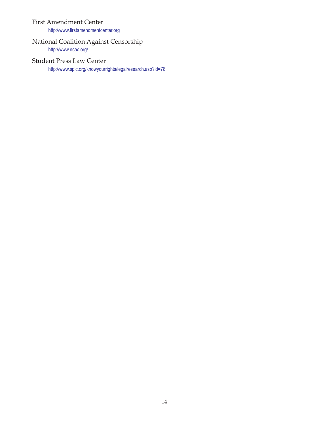#### First Amendment Center

http://www.firstamendmentcenter.org

#### National Coalition Against Censorship http://www.ncac.org/

#### Student Press Law Center

http://www.splc.org/knowyourrights/legalresearch.asp?id=78